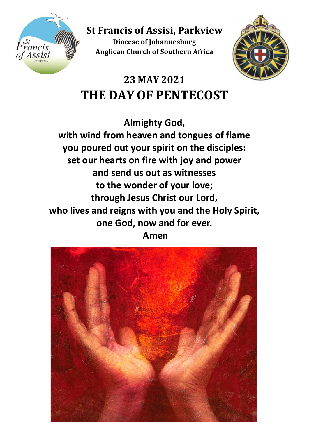

**St Francis of Assisi, Parkview Diocese of Johannesburg Anglican Church of Southern Africa**



# **23 MAY 2021 THE DAY OF PENTECOST**

**Almighty God, with wind from heaven and tongues of flame you poured out your spirit on the disciples: set our hearts on fire with joy and power and send us out as witnesses to the wonder of your love; through Jesus Christ our Lord, who lives and reigns with you and the Holy Spirit, one God, now and for ever. Amen**

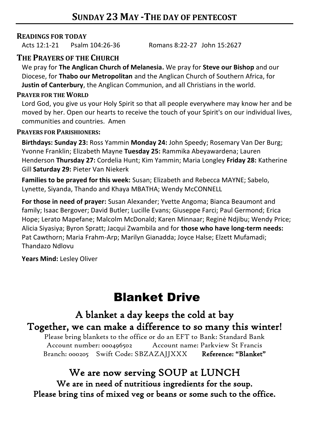#### **READINGS FOR TODAY**

Acts 12:1-21 Psalm 104:26-36 Romans 8:22-27 John 15:2627

#### **THE PRAYERS OF THE CHURCH**

We pray for **The Anglican Church of Melanesia.** We pray for **Steve our Bishop** and our Diocese, for **Thabo our Metropolitan** and the Anglican Church of Southern Africa, for **Justin of Canterbury**, the Anglican Communion, and all Christians in the world.

#### **PRAYER FOR THE WORLD**

Lord God, you give us your Holy Spirit so that all people everywhere may know her and be moved by her. Open our hearts to receive the touch of your Spirit's on our individual lives, communities and countries. Amen

#### **PRAYERS FOR PARISHIONERS:**

**Birthdays: Sunday 23:** Ross Yammin **Monday 24:** John Speedy; Rosemary Van Der Burg; Yvonne Franklin; Elizabeth Mayne **Tuesday 25:** Rammika Abeyawardena; Lauren Henderson **Thursday 27:** Cordelia Hunt; Kim Yammin; Maria Longley **Friday 28:** Katherine Gill **Saturday 29:** Pieter Van Niekerk

**Families to be prayed for this week:** Susan; Elizabeth and Rebecca MAYNE; Sabelo, Lynette, Siyanda, Thando and Khaya MBATHA; Wendy McCONNELL

**For those in need of prayer:** Susan Alexander; Yvette Angoma; Bianca Beaumont and family; Isaac Bergover; David Butler; Lucille Evans; Giuseppe Farci; Paul Germond; Erica Hope; Lerato Mapefane; Malcolm McDonald; Karen Minnaar; Reginė Ndjibu; Wendy Price; Alicia Siyasiya; Byron Spratt; Jacqui Zwambila and for **those who have long-term needs:** Pat Cawthorn; Maria Frahm-Arp; Marilyn Gianadda; Joyce Halse; Elzett Mufamadi; Thandazo Ndlovu

**Years Mind:** Lesley Oliver

# Blanket Drive

# A blanket a day keeps the cold at bay Together, we can make a difference to so many this winter!

Please bring blankets to the office or do an EFT to Bank: Standard Bank Account number: 000496502 Account name: Parkview St Francis Branch: 000205 Swift Code: SBZAZAJJXXX Reference: "Blanket"

### We are now serving SOUP at LUNCH

We are in need of nutritious ingredients for the soup. Please bring tins of mixed veg or beans or some such to the office.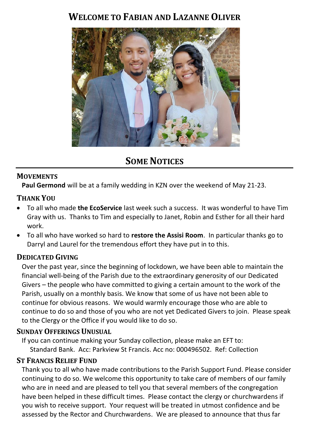## **WELCOME TO FABIAN AND LAZANNE OLIVER**



# **SOME NOTICES**

#### **MOVEMENTS**

**Paul Germond** will be at a family wedding in KZN over the weekend of May 21-23.

#### **THANK YOU**

- To all who made **the EcoService** last week such a success. It was wonderful to have Tim Gray with us. Thanks to Tim and especially to Janet, Robin and Esther for all their hard work.
- To all who have worked so hard to **restore the Assisi Room**. In particular thanks go to Darryl and Laurel for the tremendous effort they have put in to this.

#### **DEDICATED GIVING**

Over the past year, since the beginning of lockdown, we have been able to maintain the financial well-being of the Parish due to the extraordinary generosity of our Dedicated Givers – the people who have committed to giving a certain amount to the work of the Parish, usually on a monthly basis. We know that some of us have not been able to continue for obvious reasons. We would warmly encourage those who are able to continue to do so and those of you who are not yet Dedicated Givers to join. Please speak to the Clergy or the Office if you would like to do so.

#### **SUNDAY OFFERINGS UNUSUAL**

If you can continue making your Sunday collection, please make an EFT to: Standard Bank. Acc: Parkview St Francis. Acc no: 000496502. Ref: Collection

#### **ST FRANCIS RELIEF FUND**

Thank you to all who have made contributions to the Parish Support Fund. Please consider continuing to do so. We welcome this opportunity to take care of members of our family who are in need and are pleased to tell you that several members of the congregation have been helped in these difficult times. Please contact the clergy or churchwardens if you wish to receive support. Your request will be treated in utmost confidence and be assessed by the Rector and Churchwardens. We are pleased to announce that thus far